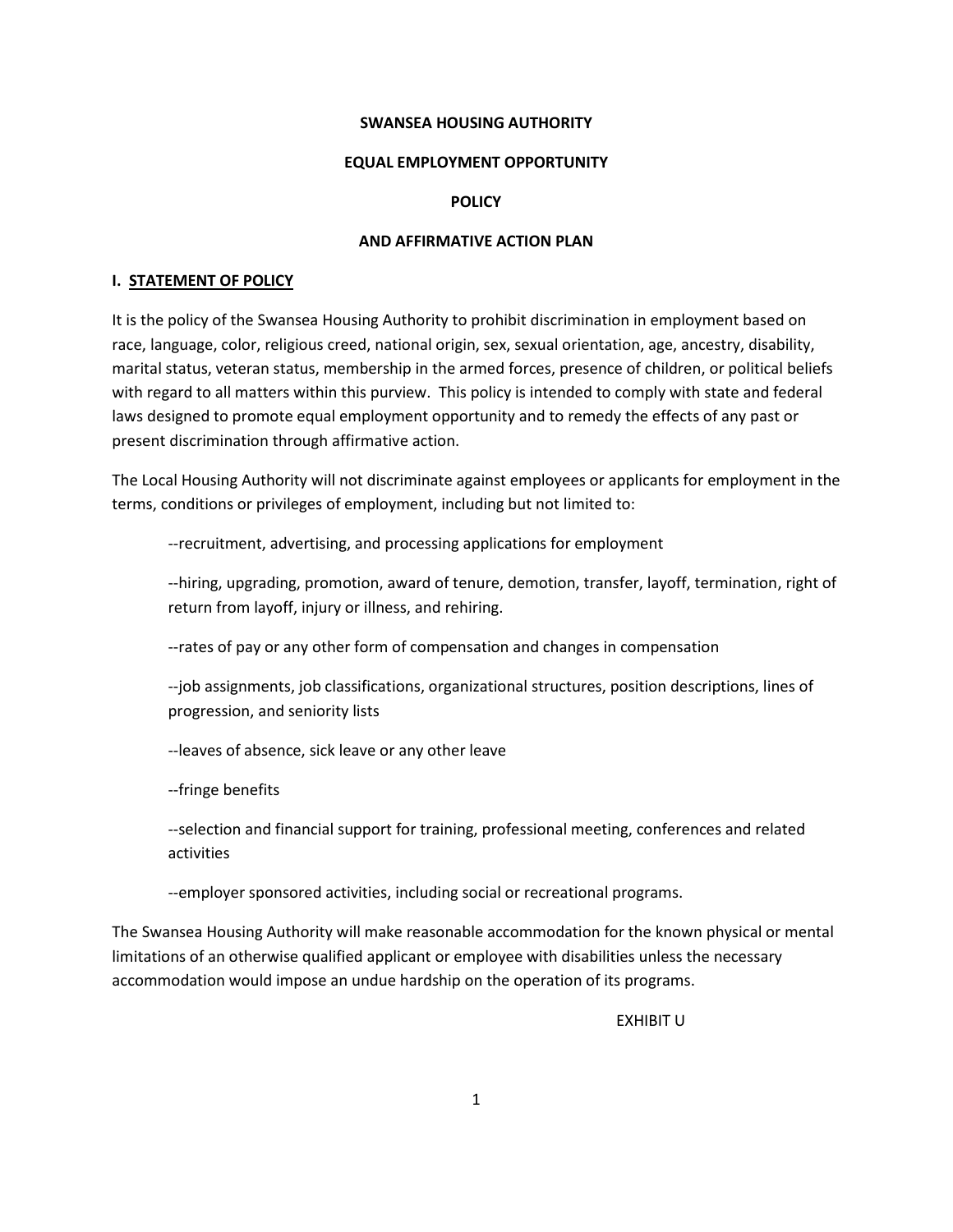#### **SWANSEA HOUSING AUTHORITY**

#### **EQUAL EMPLOYMENT OPPORTUNITY**

### **POLICY**

#### **AND AFFIRMATIVE ACTION PLAN**

#### **I. STATEMENT OF POLICY**

It is the policy of the Swansea Housing Authority to prohibit discrimination in employment based on race, language, color, religious creed, national origin, sex, sexual orientation, age, ancestry, disability, marital status, veteran status, membership in the armed forces, presence of children, or political beliefs with regard to all matters within this purview. This policy is intended to comply with state and federal laws designed to promote equal employment opportunity and to remedy the effects of any past or present discrimination through affirmative action.

The Local Housing Authority will not discriminate against employees or applicants for employment in the terms, conditions or privileges of employment, including but not limited to:

--recruitment, advertising, and processing applications for employment

--hiring, upgrading, promotion, award of tenure, demotion, transfer, layoff, termination, right of return from layoff, injury or illness, and rehiring.

--rates of pay or any other form of compensation and changes in compensation

--job assignments, job classifications, organizational structures, position descriptions, lines of progression, and seniority lists

--leaves of absence, sick leave or any other leave

--fringe benefits

--selection and financial support for training, professional meeting, conferences and related activities

--employer sponsored activities, including social or recreational programs.

The Swansea Housing Authority will make reasonable accommodation for the known physical or mental limitations of an otherwise qualified applicant or employee with disabilities unless the necessary accommodation would impose an undue hardship on the operation of its programs.

EXHIBIT U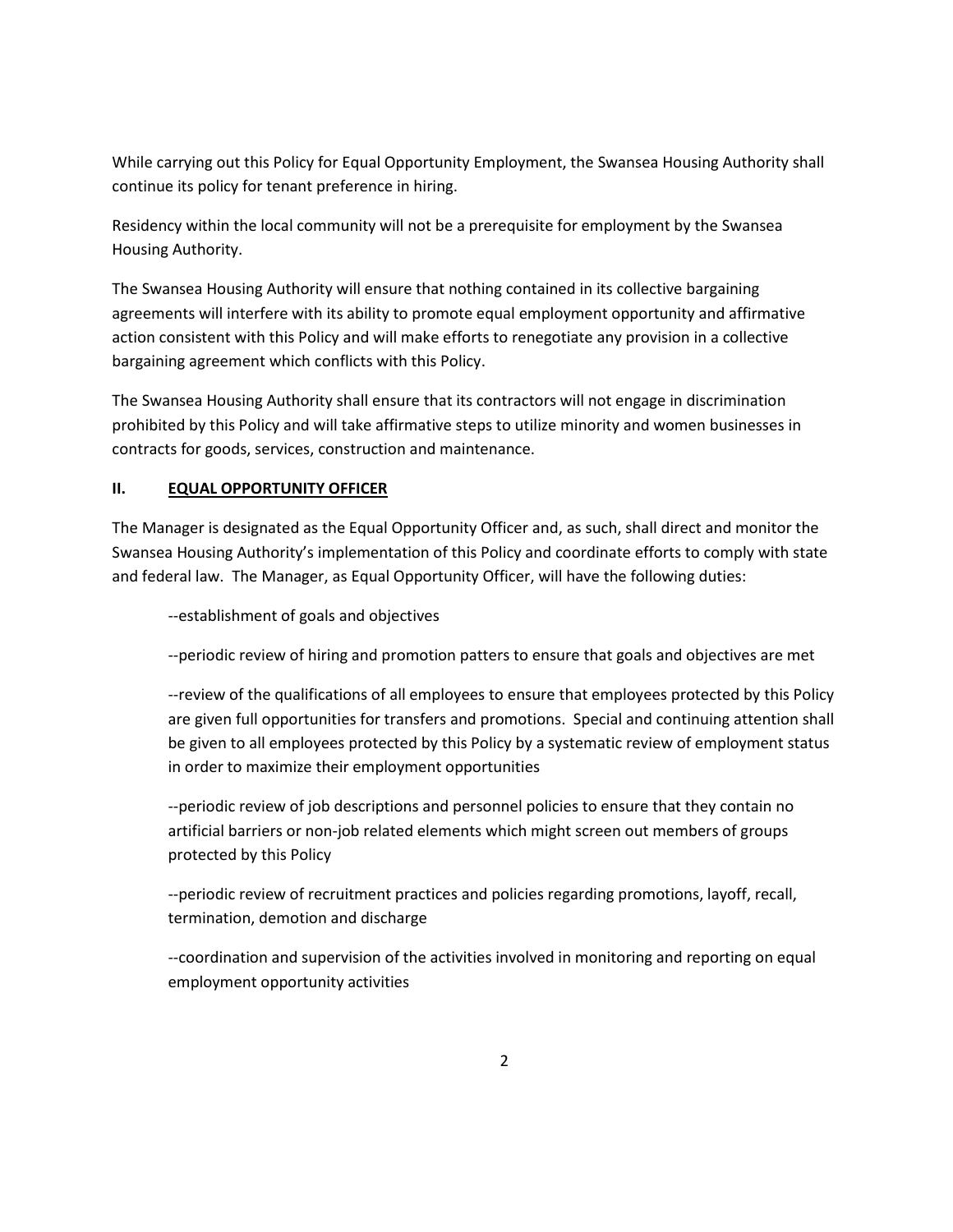While carrying out this Policy for Equal Opportunity Employment, the Swansea Housing Authority shall continue its policy for tenant preference in hiring.

Residency within the local community will not be a prerequisite for employment by the Swansea Housing Authority.

The Swansea Housing Authority will ensure that nothing contained in its collective bargaining agreements will interfere with its ability to promote equal employment opportunity and affirmative action consistent with this Policy and will make efforts to renegotiate any provision in a collective bargaining agreement which conflicts with this Policy.

The Swansea Housing Authority shall ensure that its contractors will not engage in discrimination prohibited by this Policy and will take affirmative steps to utilize minority and women businesses in contracts for goods, services, construction and maintenance.

# **II. EQUAL OPPORTUNITY OFFICER**

The Manager is designated as the Equal Opportunity Officer and, as such, shall direct and monitor the Swansea Housing Authority's implementation of this Policy and coordinate efforts to comply with state and federal law. The Manager, as Equal Opportunity Officer, will have the following duties:

--establishment of goals and objectives

--periodic review of hiring and promotion patters to ensure that goals and objectives are met

--review of the qualifications of all employees to ensure that employees protected by this Policy are given full opportunities for transfers and promotions. Special and continuing attention shall be given to all employees protected by this Policy by a systematic review of employment status in order to maximize their employment opportunities

--periodic review of job descriptions and personnel policies to ensure that they contain no artificial barriers or non-job related elements which might screen out members of groups protected by this Policy

--periodic review of recruitment practices and policies regarding promotions, layoff, recall, termination, demotion and discharge

--coordination and supervision of the activities involved in monitoring and reporting on equal employment opportunity activities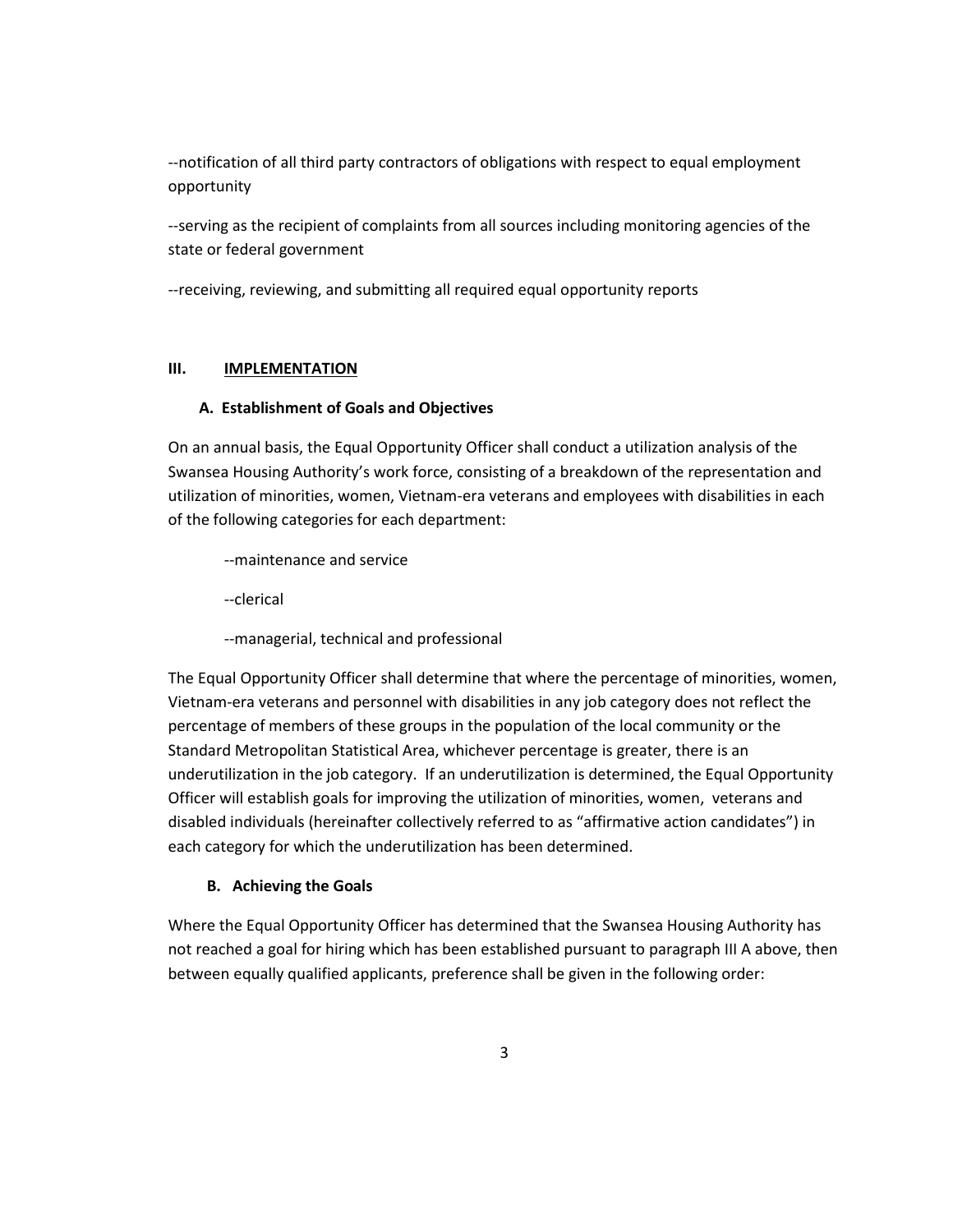--notification of all third party contractors of obligations with respect to equal employment opportunity

--serving as the recipient of complaints from all sources including monitoring agencies of the state or federal government

--receiving, reviewing, and submitting all required equal opportunity reports

# **III. IMPLEMENTATION**

# **A. Establishment of Goals and Objectives**

On an annual basis, the Equal Opportunity Officer shall conduct a utilization analysis of the Swansea Housing Authority's work force, consisting of a breakdown of the representation and utilization of minorities, women, Vietnam-era veterans and employees with disabilities in each of the following categories for each department:

- --maintenance and service
- --clerical
- --managerial, technical and professional

The Equal Opportunity Officer shall determine that where the percentage of minorities, women, Vietnam-era veterans and personnel with disabilities in any job category does not reflect the percentage of members of these groups in the population of the local community or the Standard Metropolitan Statistical Area, whichever percentage is greater, there is an underutilization in the job category. If an underutilization is determined, the Equal Opportunity Officer will establish goals for improving the utilization of minorities, women, veterans and disabled individuals (hereinafter collectively referred to as "affirmative action candidates") in each category for which the underutilization has been determined.

# **B. Achieving the Goals**

Where the Equal Opportunity Officer has determined that the Swansea Housing Authority has not reached a goal for hiring which has been established pursuant to paragraph III A above, then between equally qualified applicants, preference shall be given in the following order: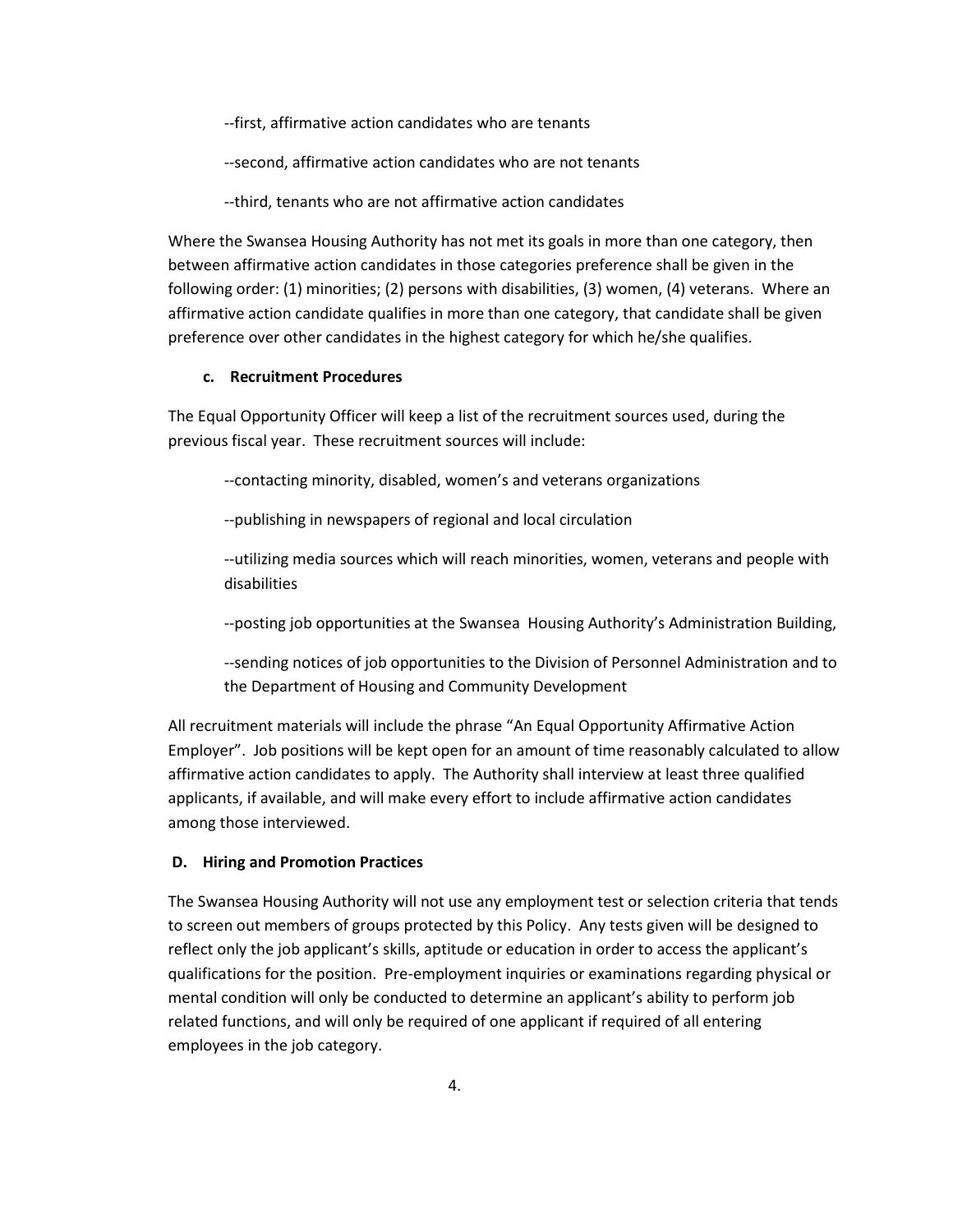--first, affirmative action candidates who are tenants

--second, affirmative action candidates who are not tenants

--third, tenants who are not affirmative action candidates

Where the Swansea Housing Authority has not met its goals in more than one category, then between affirmative action candidates in those categories preference shall be given in the following order: (1) minorities; (2) persons with disabilities, (3) women, (4) veterans. Where an affirmative action candidate qualifies in more than one category, that candidate shall be given preference over other candidates in the highest category for which he/she qualifies.

#### **c. Recruitment Procedures**

The Equal Opportunity Officer will keep a list of the recruitment sources used, during the previous fiscal year. These recruitment sources will include:

--contacting minority, disabled, women's and veterans organizations

--publishing in newspapers of regional and local circulation

--utilizing media sources which will reach minorities, women, veterans and people with disabilities

--posting job opportunities at the Swansea Housing Authority's Administration Building,

--sending notices of job opportunities to the Division of Personnel Administration and to the Department of Housing and Community Development

All recruitment materials will include the phrase "An Equal Opportunity Affirmative Action Employer". Job positions will be kept open for an amount of time reasonably calculated to allow affirmative action candidates to apply. The Authority shall interview at least three qualified applicants, if available, and will make every effort to include affirmative action candidates among those interviewed.

#### **D. Hiring and Promotion Practices**

The Swansea Housing Authority will not use any employment test or selection criteria that tends to screen out members of groups protected by this Policy. Any tests given will be designed to reflect only the job applicant's skills, aptitude or education in order to access the applicant's qualifications for the position. Pre-employment inquiries or examinations regarding physical or mental condition will only be conducted to determine an applicant's ability to perform job related functions, and will only be required of one applicant if required of all entering employees in the job category.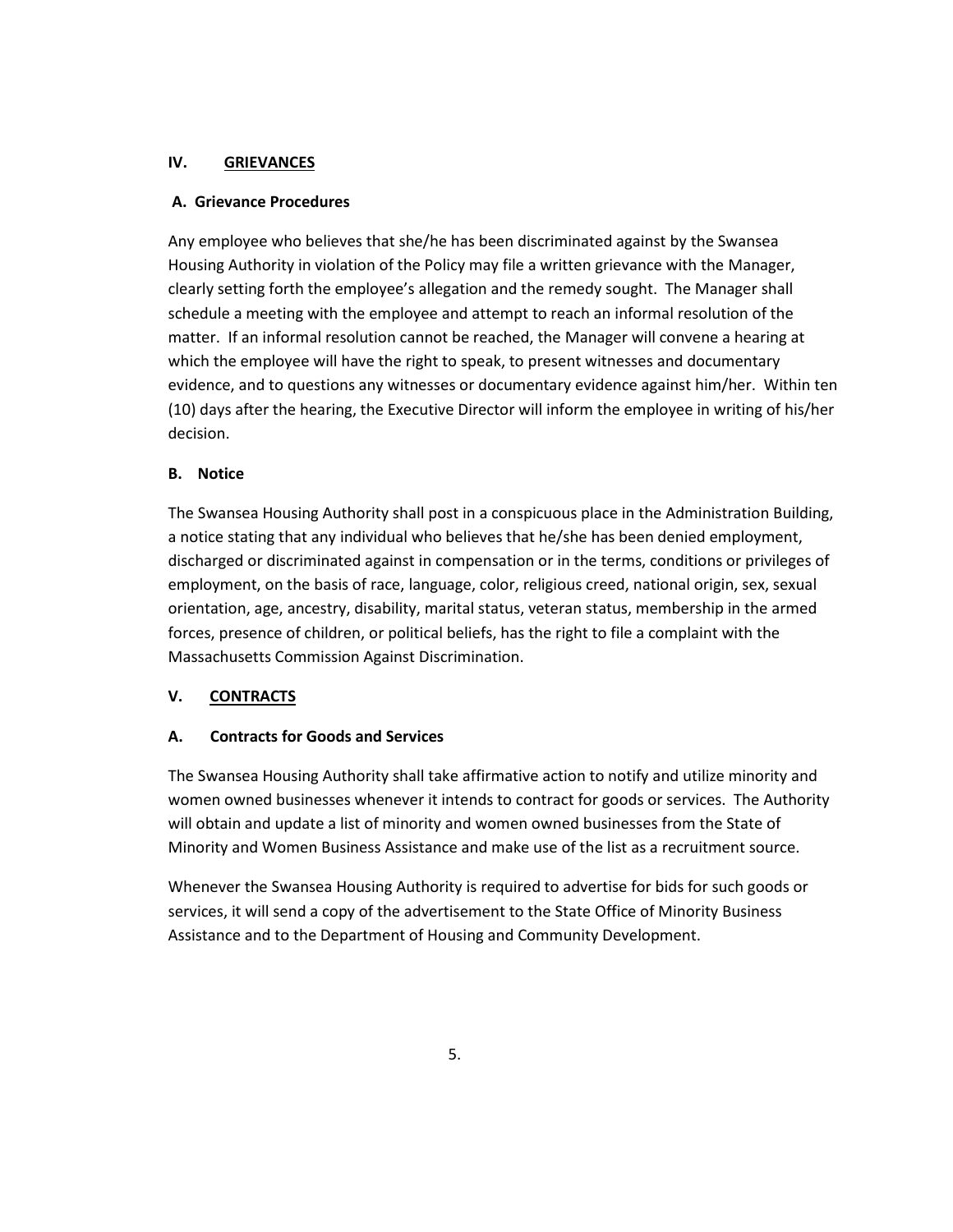# **IV. GRIEVANCES**

### **A. Grievance Procedures**

Any employee who believes that she/he has been discriminated against by the Swansea Housing Authority in violation of the Policy may file a written grievance with the Manager, clearly setting forth the employee's allegation and the remedy sought. The Manager shall schedule a meeting with the employee and attempt to reach an informal resolution of the matter. If an informal resolution cannot be reached, the Manager will convene a hearing at which the employee will have the right to speak, to present witnesses and documentary evidence, and to questions any witnesses or documentary evidence against him/her. Within ten (10) days after the hearing, the Executive Director will inform the employee in writing of his/her decision.

### **B. Notice**

The Swansea Housing Authority shall post in a conspicuous place in the Administration Building, a notice stating that any individual who believes that he/she has been denied employment, discharged or discriminated against in compensation or in the terms, conditions or privileges of employment, on the basis of race, language, color, religious creed, national origin, sex, sexual orientation, age, ancestry, disability, marital status, veteran status, membership in the armed forces, presence of children, or political beliefs, has the right to file a complaint with the Massachusetts Commission Against Discrimination.

# **V. CONTRACTS**

# **A. Contracts for Goods and Services**

The Swansea Housing Authority shall take affirmative action to notify and utilize minority and women owned businesses whenever it intends to contract for goods or services. The Authority will obtain and update a list of minority and women owned businesses from the State of Minority and Women Business Assistance and make use of the list as a recruitment source.

Whenever the Swansea Housing Authority is required to advertise for bids for such goods or services, it will send a copy of the advertisement to the State Office of Minority Business Assistance and to the Department of Housing and Community Development.